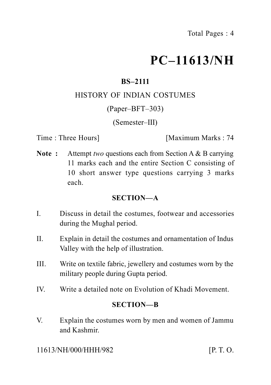# **PC–11613/NH**

# **BS–2111**

## HISTORY OF INDIAN COSTUMES

## (Paper–BFT–303)

## (Semester–III)

Time : Three Hours **I** [Maximum Marks : 74]

**Note :** Attempt *two* questions each from Section A & B carrying 11 marks each and the entire Section C consisting of 10 short answer type questions carrying 3 marks each.

## **SECTION—A**

- I. Discuss in detail the costumes, footwear and accessories during the Mughal period.
- II. Explain in detail the costumes and ornamentation of Indus Valley with the help of illustration.
- III. Write on textile fabric, jewellery and costumes worn by the military people during Gupta period.
- IV. Write a detailed note on Evolution of Khadi Movement.

## **SECTION—B**

V. Explain the costumes worn by men and women of Jammu and Kashmir.

11613/NH/000/HHH/982 **[P. T. O.**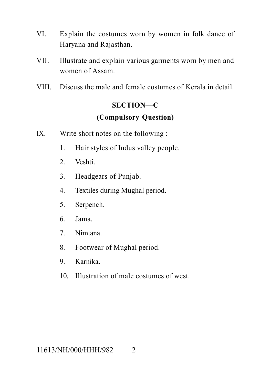- VI. Explain the costumes worn by women in folk dance of Haryana and Rajasthan.
- VII. Illustrate and explain various garments worn by men and women of Assam.
- VIII. Discuss the male and female costumes of Kerala in detail.

# **SECTION—C**

# **(Compulsory Question)**

- IX. Write short notes on the following :
	- 1. Hair styles of Indus valley people.
	- 2. Veshti.
	- 3. Headgears of Punjab.
	- 4. Textiles during Mughal period.
	- 5. Serpench.
	- 6. Jama.
	- 7. Nimtana.
	- 8. Footwear of Mughal period.
	- 9. Karnika.
	- 10. Illustration of male costumes of west.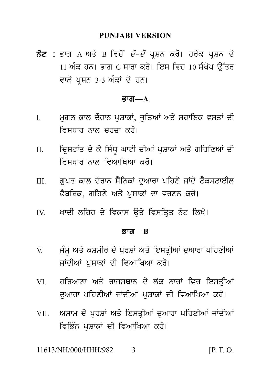PUNJABI VERSION<br>ਨੋਟ : ਭਾਗ A ਅਤੇ B ਵਿਚੋਂ *ਦੋ–ਦੋ* ਪ੍ਰਸ਼ਨ ਕਰੋ। ਹਰੇਕ ਪ੍ਰਸ਼ਨ ਦੇ<br>11 ਅੰਕ ਹਨ। ਭਾਗ C ਸਾਰਾ ਕਰੋ। ਇਸ ਵਿਚ 10 ਸੰਖੇਪ ਉੱਤਰ<br>ਵਾਲੇ ਪਸ਼ਨ 3-3 ਅੰਕਾਂ ਦੇ ਹਨ। PUNJABI VERSION<br>ਭਾਗ A ਅਤੇ B ਵਿਚੋਂ *ਦੋ–ਦੋ* ਪ੍ਰਸ਼ਨ ਕਰੋ। ਹਰੇਕ ਪ੍ਰਸ਼ਨ ਦੇ<br>11 ਅੰਕ ਹਨ। ਭਾਗ C ਸਾਰਾ ਕਰੋ। ਇਸ ਵਿਚ 10 ਸੰਖੇਪ ਉੱਤਰ<br>ਵਾਲੇ ਪ੍ਰਸ਼ਨ 3-3 ਅੰਕਾਂ ਦੇ ਹਨ। **ਨੋਟ :** ਭਾਗ A ਅਤੇ B ਵਿਚੋਂ *ਦੋ–ਦੋ* ਪ੍ਰਸ਼ਨ ਕਰੋ। ਹਰੇਕ ਪ੍ਰਸ਼ਨ ਦੇ<br>11 ਅੰਕ ਹਨ। ਭਾਗ C ਸਾਰਾ ਕਰੋ। ਇਸ ਵਿਚ 10 ਸੰਖੇਪ ਉੱਤਰ<br>ਵਾਲੇ ਪਸ਼ਨ 3-3 ਅੰਕਾਂ ਦੇ ਹਨ।

#### <u>ਭਾਗ—A</u>

- ਵਾਲੇ ਪ੍ਰਸ਼ਨ 3-3 ਅੰਕਾਂ ਦੇ ਹਨ।<br>**ਭਾਗ—A**<br>I. ਮੁਗਲ ਕਾਲ ਦੌਰਾਨ ਪੁਸ਼ਾਕਾਂ, ਜੁਤਿਆਂ ਅਤੇ ਸਹਾਇਕ ਵਸਤਾਂ ਦੀ<br>ਵਿਸਥਾਰ ਨਾਲ ਚਰਚਾ ਕਰੋ। ਮੁਗਲ ਕਾਲ ਦੌਰਾਨ ਪੁਸ਼ਾਕਾਂ, ਜੁਤਿਆਂ ਅਤੇ ਸਹਾਇਕ ਵਸਤਾਂ ਦੀ<br>ਵਿਸਥਾਰ ਨਾਲ ਚਰਚਾ ਕਰੋ।<br>ਦ੍ਰਿਸ਼ਟਾਂਤ ਦੇ ਕੇ ਸਿੰਧੂ ਘਾਟੀ ਦੀਆਂ ਪੁਸ਼ਾਕਾਂ ਅਤੇ ਗਹਿਣਿਆਂ ਦੀ<br>ਵਿਸਥਾਰ ਨਾਲ ਵਿਆਖਿਆ ਕਰੋ।
- I. ਮੁਗਲ ਕਾਲ ਦੌਰਾਨ ਪੁਸ਼ਾਕਾਂ, ਜੁਤਿਆਂ ਅਤੇ ਸਹਾਇਕ ਵਸਤਾਂ ਦੀ<br>ਵਿਸਥਾਰ ਨਾਲ ਚਰਚਾ ਕਰੋ।<br>II. ਵਿ੍ਸ਼ਟਾਂਤ ਦੇ ਕੇ ਸਿੰਧੂ ਘਾਟੀ ਦੀਆਂ ਪੁਸ਼ਾਕਾਂ ਅਤੇ ਗਹਿਣਿਆਂ ਦੀ<br>ਵਿਸਥਾਰ ਨਾਲ ਵਿਆਖਿਆ ਕਰੋ। ਦ੍ਰਿਸ਼ਟਾਂਤ ਦੇ ਕੇ ਸਿੰਧੂ ਘਾਟੀ ਦੀਆਂ ਪੁਸ਼ਾਕਾਂ ਅਤੇ ਗਹਿਣਿਆਂ ਦੀ<br>ਵਿਸਥਾਰ ਨਾਲ ਵਿਆਖਿਆ ਕਰੋ।<br>ਗੁਪਤ ਕਾਲ ਦੌਰਾਨ ਸੈਨਿਕਾਂ ਦੁਆਰਾ ਪਹਿਣੇ ਜਾਂਦੇ ਟੈਕਸਟਾਈਲ<br>ਫੈਬਰਿਕ. ਗਹਿਣੇ ਅਤੇ ਪਸ਼ਾਕਾਂ ਦਾ ਵਰਣਨ ਕਰੋ। II. ਦ੍ਰਿਸ਼ਟਾਂਤ ਦੇ ਕੇ ਸਿੰਧੂ ਘਾਟੀ ਦੀਆਂ ਪੁਸ਼ਾਕਾਂ ਅਤੇ ਗਹਿਣਿਆਂ ਦੀ<br> ਵਿਸਥਾਰ ਨਾਲ ਵਿਆਖਿਆ ਕਰੋ।<br>III. ਗੁਪਤ ਕਾਲ ਦੌਰਾਨ ਸੈਨਿਕਾਂ ਦੁਆਰਾ ਪਹਿਣੇ ਜਾਂਦੇ ਟੈਕਸਟਾਈਲ<br> ਫੈਬਰਿਕ, ਗਹਿਣੇ ਅਤੇ ਪੁਸ਼ਾਕਾਂ ਦਾ ਵਰਣਨ ਕਰੋ।
- -<br>ਵਿਸਥਾਰ ਨਾਲ ਵਿਆਖਿਆ ਕਰੋ।<br>ਗੁਪਤ ਕਾਲ ਦੌਰਾਨ ਸੈਨਿਕਾਂ ਦੁਆਰਾ ਪਹਿਣੇ ਜਾਂਦੇ ਟੈਕਸਟਾਈਲ<br>ਫੈਬਰਿਕ, ਗਹਿਣੇ ਅਤੇ ਪੁਸ਼ਾਕਾਂ ਦਾ ਵਰਣਨ ਕਰੋ।<br>ਖਾਦੀ ਲਹਿਰ ਦੇ ਵਿਕਾਸ ਉਤੇ ਵਿਸਤ੍ਰਿਤ ਨੋਟ ਲਿਖੋ। IV. KwdI lihr d y ivkws a uq y ivsiq Rq n ot ilK o[
- 

#### Bwg**—B**

- IV. ਖਾਦੀ ਲਹਿਰ ਦੇ ਵਿਕਾਸ ਉਤੇ ਵਿਸਤ੍ਰਿਤ ਨੋਟ ਲਿਖੋ।<br>ਭਾਗ—B<br>V. ਜੰਮੂ ਅਤੇ ਕਸ਼ਮੀਰ ਦੇ ਪੁਰਸ਼ਾਂ ਅਤੇ ਇਸਤ੍ਰੀਆਂ ਦੁਆਰਾ ਪਹਿਣੀਆਂ<br>ਜਾਂਦੀਆਂ ਪੁਸ਼ਾਕਾਂ ਦੀ ਵਿਆਖਿਆ ਕਰੋ। ਜੰਮੂ ਅਤੇ ਕਸ਼ਮੀਰ ਦੇ ਪੁਰਸ਼ਾਂ ਅਤੇ ਇਸਤ੍ਰੀਆਂ ਦੁਆਰਾ ਪਹਿਣੀਆਂ<br>ਜਾਂਦੀਆਂ ਪੁਸ਼ਾਕਾਂ ਦੀ ਵਿਆਖਿਆ ਕਰੋ।<br>ਹਰਿਆਣਾ ਅਤੇ ਰਾਜਸਥਾਨ ਦੇ ਲੋਕ ਨਾਚਾਂ ਵਿਚ ਇਸਤ੍ਰੀਆਂ<br>ਦੁਆਰਾ ਪਹਿਣੀਆਂ ਜਾਂਦੀਆਂ ਪਸ਼ਾਕਾਂ ਦੀ ਵਿਆਖਿਆ ਕਰੋ।
- V. ਜੰਮੂ ਅਤੇ ਕਸ਼ਮੀਰ ਦੇ ਪੁਰਸ਼ਾਂ ਅਤੇ ਇਸਤ੍ਰੀਆਂ ਦੁਆਰਾ ਪਹਿਣੀਆਂ<br>ਜਾਂਦੀਆਂ ਪੁਸ਼ਾਕਾਂ ਦੀ ਵਿਆਖਿਆ ਕਰੋ।<br>VI. ਹਰਿਆਣਾ ਅਤੇ ਰਾਜਸਥਾਨ ਦੇ ਲੋਕ ਨਾਚਾਂ ਵਿਚ ਇਸਤ੍ਰੀਆਂ<br>ਦੁਆਰਾ ਪਹਿਣੀਆਂ ਜਾਂਦੀਆਂ ਪੁਸ਼ਾਕਾਂ ਦੀ ਵਿਆਖਿਆ ਕਰੋ। d uAwrw pihxIAW jWdIAW p uSwkW dI ivAwiKAw kr o[
- VI. ਹਰਿਆਣਾ ਅਤੇ ਰਾਜਸਥਾਨ ਦੇ ਲੋਕ ਨਾਚਾਂ ਵਿਚ ਇਸਤ੍ਰੀਆਂ<br>ਦੁਆਰਾ ਪਹਿਣੀਆਂ ਜਾਂਦੀਆਂ ਪੁਸ਼ਾਕਾਂ ਦੀ ਵਿਆਖਿਆ ਕਰੋ।<br>VII. ਅਸਾਮ ਦੇ ਪੁਰਸ਼ਾਂ ਅਤੇ ਇਸਤ੍ਰੀਆਂ ਦੁਆਰਾ ਪਹਿਣੀਆਂ ਜਾਂਦੀਆਂ<br>ਵਿਭਿੰਨ ਪੁਸ਼ਾਕਾਂ ਦੀ ਵਿਆਖਿਆ ਕਰੋ। ਅਸਾਮ ਦੇ ਪੁਰਸ਼ਾਂ ਅਤੇ ਇਸਤ੍ਰੀਆਂ ਦੁਆਰਾ ਪਹਿਣੀਆਂ ਜਾਂਦੀਆਂ<br>ਵਿਭਿੰਨ ਪੁਸ਼ਾਕਾਂ ਦੀ ਵਿਆਖਿਆ ਕਰੋ।<br>NH/000/HHH/982 3

11613/NH/000/HHH/982